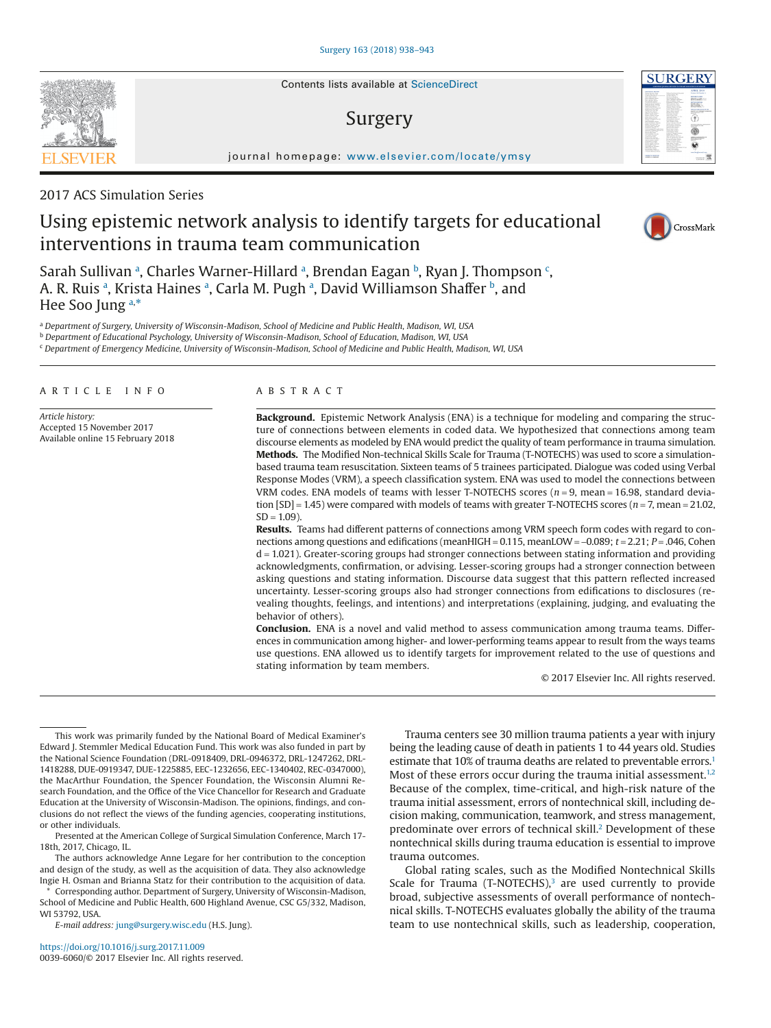Contents lists available at [ScienceDirect](http://www.sciencedirect.com/science/journal/00396060)

# Surgery

journal homepage: [www.elsevier.com/locate/ymsy](http://www.elsevier.com/locate/YMSY)

## 2017 ACS Simulation Series

# Using epistemic network analysis to identify targets for educational interventions in trauma team communication

S[a](#page-0-0)rah Sullivan ª, Charles Warner-Hillard ª, Brendan Eagan ʰ, Ryan J. Thompson <sup>[c](#page-0-2)</sup>, A. R. Ruis <sup>[a](#page-0-0)</sup>, Krista Haines <sup>a</sup>, Carla M. Pugh <sup>a</sup>, David Williamson Shaffer <sup>[b](#page-0-1)</sup>, and Hee Soo Jung [a,](#page-0-0)[\\*](#page-0-3)

<span id="page-0-0"></span><sup>a</sup> *Department of Surgery, University of Wisconsin-Madison, School of Medicine and Public Health, Madison, WI, USA*

<span id="page-0-1"></span><sup>b</sup> *Department of Educational Psychology, University of Wisconsin-Madison, School of Education, Madison, WI, USA*

<span id="page-0-2"></span><sup>c</sup> *Department of Emergency Medicine, University of Wisconsin-Madison, School of Medicine and Public Health, Madison, WI, USA*

#### ARTICLE INFO

*Article history:* Accepted 15 November 2017 Available online 15 February 2018

### ABSTRACT

**Background.** Epistemic Network Analysis (ENA) is a technique for modeling and comparing the structure of connections between elements in coded data. We hypothesized that connections among team discourse elements as modeled by ENA would predict the quality of team performance in trauma simulation. **Methods.** The Modified Non-technical Skills Scale for Trauma (T-NOTECHS) was used to score a simulationbased trauma team resuscitation. Sixteen teams of 5 trainees participated. Dialogue was coded using Verbal Response Modes (VRM), a speech classification system. ENA was used to model the connections between VRM codes. ENA models of teams with lesser T-NOTECHS scores (*n* = 9, mean = 16.98, standard deviation [SD] = 1.45) were compared with models of teams with greater T-NOTECHS scores (*n* = 7, mean = 21.02,  $SD = 1.09$ ).

**Results.** Teams had different patterns of connections among VRM speech form codes with regard to connections among questions and edifications (meanHIGH = 0.115, meanLOW = −0.089; *t* = 2.21; *P* = .046, Cohen d = 1.021). Greater-scoring groups had stronger connections between stating information and providing acknowledgments, confirmation, or advising. Lesser-scoring groups had a stronger connection between asking questions and stating information. Discourse data suggest that this pattern reflected increased uncertainty. Lesser-scoring groups also had stronger connections from edifications to disclosures (revealing thoughts, feelings, and intentions) and interpretations (explaining, judging, and evaluating the behavior of others).

**Conclusion.** ENA is a novel and valid method to assess communication among trauma teams. Differences in communication among higher- and lower-performing teams appear to result from the ways teams use questions. ENA allowed us to identify targets for improvement related to the use of questions and stating information by team members.

© 2017 Elsevier Inc. All rights reserved.

This work was primarily funded by the National Board of Medical Examiner's Edward J. Stemmler Medical Education Fund. This work was also funded in part by the National Science Foundation (DRL-0918409, DRL-0946372, DRL-1247262, DRL-1418288, DUE-0919347, DUE-1225885, EEC-1232656, EEC-1340402, REC-0347000), the MacArthur Foundation, the Spencer Foundation, the Wisconsin Alumni Research Foundation, and the Office of the Vice Chancellor for Research and Graduate Education at the University of Wisconsin-Madison. The opinions, findings, and conclusions do not reflect the views of the funding agencies, cooperating institutions, or other individuals.

Presented at the American College of Surgical Simulation Conference, March 17- 18th, 2017, Chicago, IL.

The authors acknowledge Anne Legare for her contribution to the conception and design of the study, as well as the acquisition of data. They also acknowledge Ingie H. Osman and Brianna Statz for their contribution to the acquisition of data.

<span id="page-0-3"></span>\* Corresponding author. Department of Surgery, University of Wisconsin-Madison, School of Medicine and Public Health, 600 Highland Avenue, CSC G5/332, Madison, WI 53792, USA.

*E-mail address:* [jung@surgery.wisc.edu](mailto:jung@surgery.wisc.edu) (H.S. Jung).

Trauma centers see 30 million trauma patients a year with injury being the leading cause of death in patients 1 to 44 years old. Studies estimate that 10% of trauma deaths are related to preventable errors.<sup>1</sup> Most of these errors occur during the trauma initial assessment.<sup>1,2</sup> Because of the complex, time-critical, and high-risk nature of the trauma initial assessment, errors of nontechnical skill, including decision making, communication, teamwork, and stress management, predominate over errors of technical skill.<sup>2</sup> Development of these nontechnical skills during trauma education is essential to improve trauma outcomes.

Global rating scales, such as the Modified Nontechnical Skills Scale for Trauma (T-NOTECHS), $3$  are used currently to provide broad, subjective assessments of overall performance of nontechnical skills. T-NOTECHS evaluates globally the ability of the trauma team to use nontechnical skills, such as leadership, cooperation,





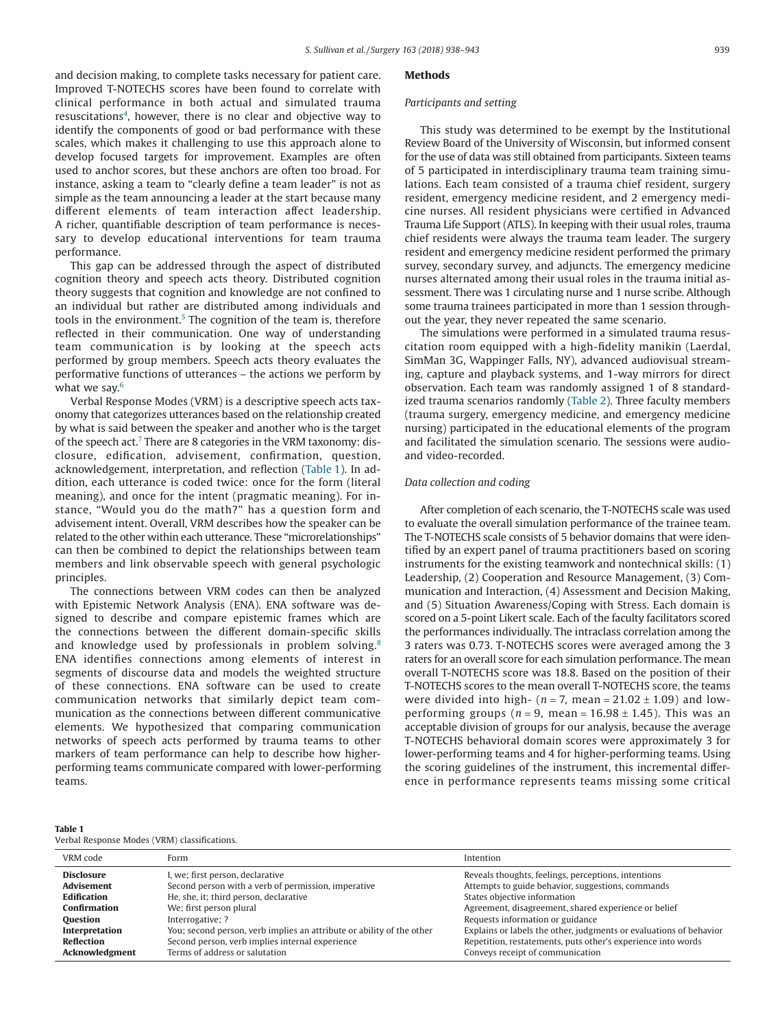<span id="page-1-0"></span>and decision making, to complete tasks necessary for patient care. Improved T-NOTECHS scores have been found to correlate with clinical performance in both actual and simulated trauma resuscitations<sup>4</sup>, however, there is no clear and objective way to identify the components of good or bad performance with these scales, which makes it challenging to use this approach alone to develop focused targets for improvement. Examples are often used to anchor scores, but these anchors are often too broad. For instance, asking a team to "clearly define a team leader" is not as simple as the team announcing a leader at the start because many different elements of team interaction affect leadership. A richer, quantifiable description of team performance is necessary to develop educational interventions for team trauma performance.

This gap can be addressed through the aspect of distributed cognition theory and speech acts theory. Distributed cognition theory suggests that cognition and knowledge are not confined to an individual but rather are distributed among individuals and tools in the environment.<sup>5</sup> The cognition of the team is, therefore reflected in their communication. One way of understanding team communication is by looking at the speech acts performed by group members. Speech acts theory evaluates the performative functions of utterances – the actions we perform by what we say. $6$ 

Verbal Response Modes (VRM) is a descriptive speech acts taxonomy that categorizes utterances based on the relationship created by what is said between the speaker and another who is the target of the speech act[.7](#page-5-6) There are 8 categories in the VRM taxonomy: disclosure, edification, advisement, confirmation, question, acknowledgement, interpretation, and reflection (Table 1). In addition, each utterance is coded twice: once for the form (literal meaning), and once for the intent (pragmatic meaning). For instance, "Would you do the math?" has a question form and advisement intent. Overall, VRM describes how the speaker can be related to the other within each utterance. These "microrelationships" can then be combined to depict the relationships between team members and link observable speech with general psychologic principles.

The connections between VRM codes can then be analyzed with Epistemic Network Analysis (ENA). ENA software was designed to describe and compare epistemic frames which are the connections between the different domain-specific skills and knowledge used by professionals in problem solving.<sup>8</sup> ENA identifies connections among elements of interest in segments of discourse data and models the weighted structure of these connections. ENA software can be used to create communication networks that similarly depict team communication as the connections between different communicative elements. We hypothesized that comparing communication networks of speech acts performed by trauma teams to other markers of team performance can help to describe how higherperforming teams communicate compared with lower-performing teams.

## **Table 1**

## **Methods**

#### *Participants and setting*

This study was determined to be exempt by the Institutional Review Board of the University of Wisconsin, but informed consent for the use of data was still obtained from participants. Sixteen teams of 5 participated in interdisciplinary trauma team training simulations. Each team consisted of a trauma chief resident, surgery resident, emergency medicine resident, and 2 emergency medicine nurses. All resident physicians were certified in Advanced Trauma Life Support (ATLS). In keeping with their usual roles, trauma chief residents were always the trauma team leader. The surgery resident and emergency medicine resident performed the primary survey, secondary survey, and adjuncts. The emergency medicine nurses alternated among their usual roles in the trauma initial assessment. There was 1 circulating nurse and 1 nurse scribe. Although some trauma trainees participated in more than 1 session throughout the year, they never repeated the same scenario.

The simulations were performed in a simulated trauma resuscitation room equipped with a high-fidelity manikin (Laerdal, SimMan 3G, Wappinger Falls, NY), advanced audiovisual streaming, capture and playback systems, and 1-way mirrors for direct observation. Each team was randomly assigned 1 of 8 standardized trauma scenarios randomly [\(Table 2\)](#page-2-0). Three faculty members (trauma surgery, emergency medicine, and emergency medicine nursing) participated in the educational elements of the program and facilitated the simulation scenario. The sessions were audioand video-recorded.

## *Data collection and coding*

After completion of each scenario, the T-NOTECHS scale was used to evaluate the overall simulation performance of the trainee team. The T-NOTECHS scale consists of 5 behavior domains that were identified by an expert panel of trauma practitioners based on scoring instruments for the existing teamwork and nontechnical skills: (1) Leadership, (2) Cooperation and Resource Management, (3) Communication and Interaction, (4) Assessment and Decision Making, and (5) Situation Awareness/Coping with Stress. Each domain is scored on a 5-point Likert scale. Each of the faculty facilitators scored the performances individually. The intraclass correlation among the 3 raters was 0.73. T-NOTECHS scores were averaged among the 3 raters for an overall score for each simulation performance. The mean overall T-NOTECHS score was 18.8. Based on the position of their T-NOTECHS scores to the mean overall T-NOTECHS score, the teams were divided into high- ( $n = 7$ , mean =  $21.02 \pm 1.09$ ) and lowperforming groups ( $n = 9$ , mean = 16.98  $\pm$  1.45). This was an acceptable division of groups for our analysis, because the average T-NOTECHS behavioral domain scores were approximately 3 for lower-performing teams and 4 for higher-performing teams. Using the scoring guidelines of the instrument, this incremental difference in performance represents teams missing some critical

| VRM code            | Form                                                                  | Intention                                                          |
|---------------------|-----------------------------------------------------------------------|--------------------------------------------------------------------|
| <b>Disclosure</b>   | I, we; first person, declarative                                      | Reveals thoughts, feelings, perceptions, intentions                |
| <b>Advisement</b>   | Second person with a verb of permission, imperative                   | Attempts to guide behavior, suggestions, commands                  |
| Edification         | He, she, it; third person, declarative                                | States objective information                                       |
| <b>Confirmation</b> | We; first person plural                                               | Agreement, disagreement, shared experience or belief               |
| <b>Question</b>     | Interrogative; ?                                                      | Requests information or guidance                                   |
| Interpretation      | You; second person, verb implies an attribute or ability of the other | Explains or labels the other, judgments or evaluations of behavior |
| <b>Reflection</b>   | Second person, verb implies internal experience                       | Repetition, restatements, puts other's experience into words       |
| Acknowledgment      | Terms of address or salutation                                        | Conveys receipt of communication                                   |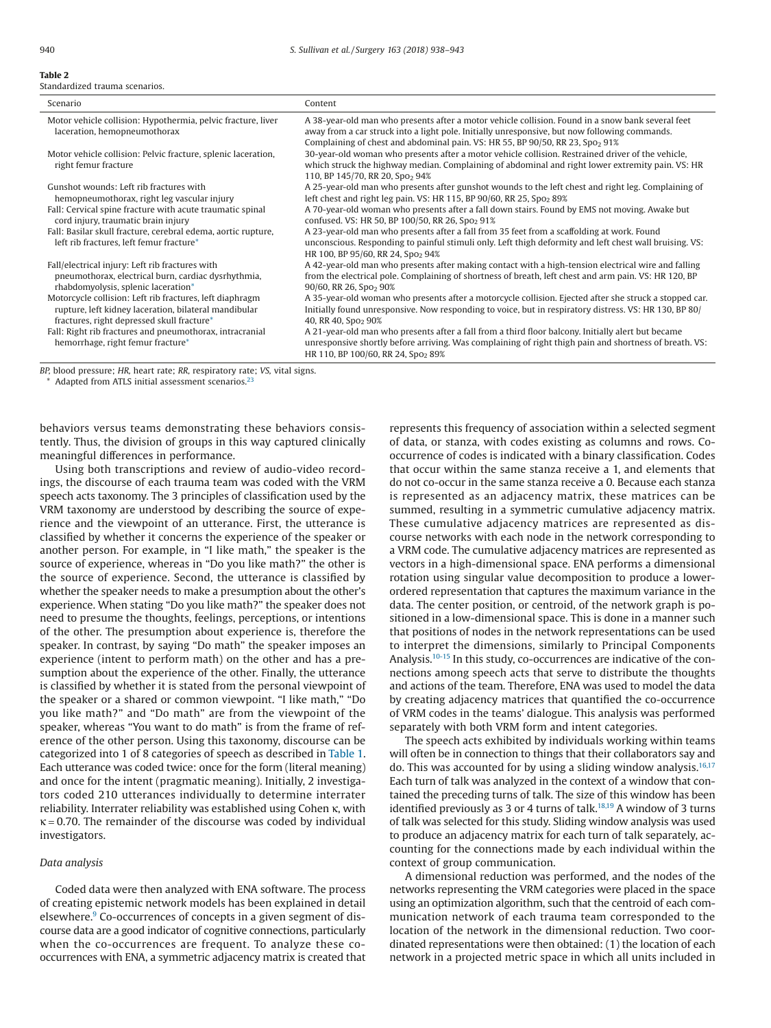#### <span id="page-2-0"></span>**Table 2** Standardized trauma scenarios.

| Scenario                                                                                                                                                        | Content                                                                                                                                                                                                                                                                                         |
|-----------------------------------------------------------------------------------------------------------------------------------------------------------------|-------------------------------------------------------------------------------------------------------------------------------------------------------------------------------------------------------------------------------------------------------------------------------------------------|
| Motor vehicle collision: Hypothermia, pelvic fracture, liver<br>laceration, hemopneumothorax                                                                    | A 38-year-old man who presents after a motor vehicle collision. Found in a snow bank several feet<br>away from a car struck into a light pole. Initially unresponsive, but now following commands.<br>Complaining of chest and abdominal pain. VS: HR 55, BP 90/50, RR 23, Spo <sub>2</sub> 91% |
| Motor vehicle collision: Pelvic fracture, splenic laceration,<br>right femur fracture                                                                           | 30-year-old woman who presents after a motor vehicle collision. Restrained driver of the vehicle,<br>which struck the highway median. Complaining of abdominal and right lower extremity pain. VS: HR<br>110, BP 145/70, RR 20, Spo <sub>2</sub> 94%                                            |
| Gunshot wounds: Left rib fractures with<br>hemopneumothorax, right leg vascular injury                                                                          | A 25-year-old man who presents after gunshot wounds to the left chest and right leg. Complaining of<br>left chest and right leg pain. VS: HR 115, BP 90/60, RR 25, Spo <sub>2</sub> 89%                                                                                                         |
| Fall: Cervical spine fracture with acute traumatic spinal<br>cord injury, traumatic brain injury                                                                | A 70-year-old woman who presents after a fall down stairs. Found by EMS not moving, Awake but<br>confused. VS: HR 50, BP 100/50, RR 26, Spo <sub>2</sub> 91%                                                                                                                                    |
| Fall: Basilar skull fracture, cerebral edema, aortic rupture,<br>left rib fractures, left femur fracture*                                                       | A 23-year-old man who presents after a fall from 35 feet from a scaffolding at work. Found<br>unconscious. Responding to painful stimuli only. Left thigh deformity and left chest wall bruising. VS:<br>HR 100, BP 95/60, RR 24, Spo <sub>2</sub> 94%                                          |
| Fall/electrical injury: Left rib fractures with<br>pneumothorax, electrical burn, cardiac dysrhythmia,<br>rhabdomyolysis, splenic laceration*                   | A 42-year-old man who presents after making contact with a high-tension electrical wire and falling<br>from the electrical pole. Complaining of shortness of breath, left chest and arm pain. VS: HR 120, BP<br>90/60, RR 26, Spo <sub>2</sub> 90%                                              |
| Motorcycle collision: Left rib fractures, left diaphragm<br>rupture, left kidney laceration, bilateral mandibular<br>fractures, right depressed skull fracture* | A 35-year-old woman who presents after a motorcycle collision. Ejected after she struck a stopped car.<br>Initially found unresponsive. Now responding to voice, but in respiratory distress. VS: HR 130, BP 80/<br>40, RR 40, Spo <sub>2</sub> 90%                                             |
| Fall: Right rib fractures and pneumothorax, intracranial<br>hemorrhage, right femur fracture*                                                                   | A 21-year-old man who presents after a fall from a third floor balcony. Initially alert but became<br>unresponsive shortly before arriving. Was complaining of right thigh pain and shortness of breath. VS:<br>HR 110, BP 100/60, RR 24, Spo <sub>2</sub> 89%                                  |

<span id="page-2-1"></span>*BP,* blood pressure; *HR,* heart rate; *RR,* respiratory rate; *VS,* vital signs.

Adapted from ATLS initial assessment scenarios.<sup>[23](#page-5-12)</sup>

behaviors versus teams demonstrating these behaviors consistently. Thus, the division of groups in this way captured clinically meaningful differences in performance.

Using both transcriptions and review of audio-video recordings, the discourse of each trauma team was coded with the VRM speech acts taxonomy. The 3 principles of classification used by the VRM taxonomy are understood by describing the source of experience and the viewpoint of an utterance. First, the utterance is classified by whether it concerns the experience of the speaker or another person. For example, in "I like math," the speaker is the source of experience, whereas in "Do you like math?" the other is the source of experience. Second, the utterance is classified by whether the speaker needs to make a presumption about the other's experience. When stating "Do you like math?" the speaker does not need to presume the thoughts, feelings, perceptions, or intentions of the other. The presumption about experience is, therefore the speaker. In contrast, by saying "Do math" the speaker imposes an experience (intent to perform math) on the other and has a presumption about the experience of the other. Finally, the utterance is classified by whether it is stated from the personal viewpoint of the speaker or a shared or common viewpoint. "I like math," "Do you like math?" and "Do math" are from the viewpoint of the speaker, whereas "You want to do math" is from the frame of reference of the other person. Using this taxonomy, discourse can be categorized into 1 of 8 categories of speech as described in [Table 1.](#page-1-0) Each utterance was coded twice: once for the form (literal meaning) and once for the intent (pragmatic meaning). Initially, 2 investigators coded 210 utterances individually to determine interrater reliability. Interrater reliability was established using Cohen κ, with  $\kappa$  = 0.70. The remainder of the discourse was coded by individual investigators.

#### *Data analysis*

Coded data were then analyzed with ENA software. The process of creating epistemic network models has been explained in detail elsewhere.<sup>9</sup> Co-occurrences of concepts in a given segment of discourse data are a good indicator of cognitive connections, particularly when the co-occurrences are frequent. To analyze these cooccurrences with ENA, a symmetric adjacency matrix is created that

represents this frequency of association within a selected segment of data, or stanza, with codes existing as columns and rows. Cooccurrence of codes is indicated with a binary classification. Codes that occur within the same stanza receive a 1, and elements that do not co-occur in the same stanza receive a 0. Because each stanza is represented as an adjacency matrix, these matrices can be summed, resulting in a symmetric cumulative adjacency matrix. These cumulative adjacency matrices are represented as discourse networks with each node in the network corresponding to a VRM code. The cumulative adjacency matrices are represented as vectors in a high-dimensional space. ENA performs a dimensional rotation using singular value decomposition to produce a lowerordered representation that captures the maximum variance in the data. The center position, or centroid, of the network graph is positioned in a low-dimensional space. This is done in a manner such that positions of nodes in the network representations can be used to interpret the dimensions, similarly to Principal Components Analysis[.10-15](#page-5-9) In this study, co-occurrences are indicative of the connections among speech acts that serve to distribute the thoughts and actions of the team. Therefore, ENA was used to model the data by creating adjacency matrices that quantified the co-occurrence of VRM codes in the teams' dialogue. This analysis was performed separately with both VRM form and intent categories.

The speech acts exhibited by individuals working within teams will often be in connection to things that their collaborators say and do. This was accounted for by using a sliding window analysis. $16,17$ Each turn of talk was analyzed in the context of a window that contained the preceding turns of talk. The size of this window has been identified previously as 3 or 4 turns of talk.<sup>18,19</sup> A window of 3 turns of talk was selected for this study. Sliding window analysis was used to produce an adjacency matrix for each turn of talk separately, accounting for the connections made by each individual within the context of group communication.

A dimensional reduction was performed, and the nodes of the networks representing the VRM categories were placed in the space using an optimization algorithm, such that the centroid of each communication network of each trauma team corresponded to the location of the network in the dimensional reduction. Two coordinated representations were then obtained: (1) the location of each network in a projected metric space in which all units included in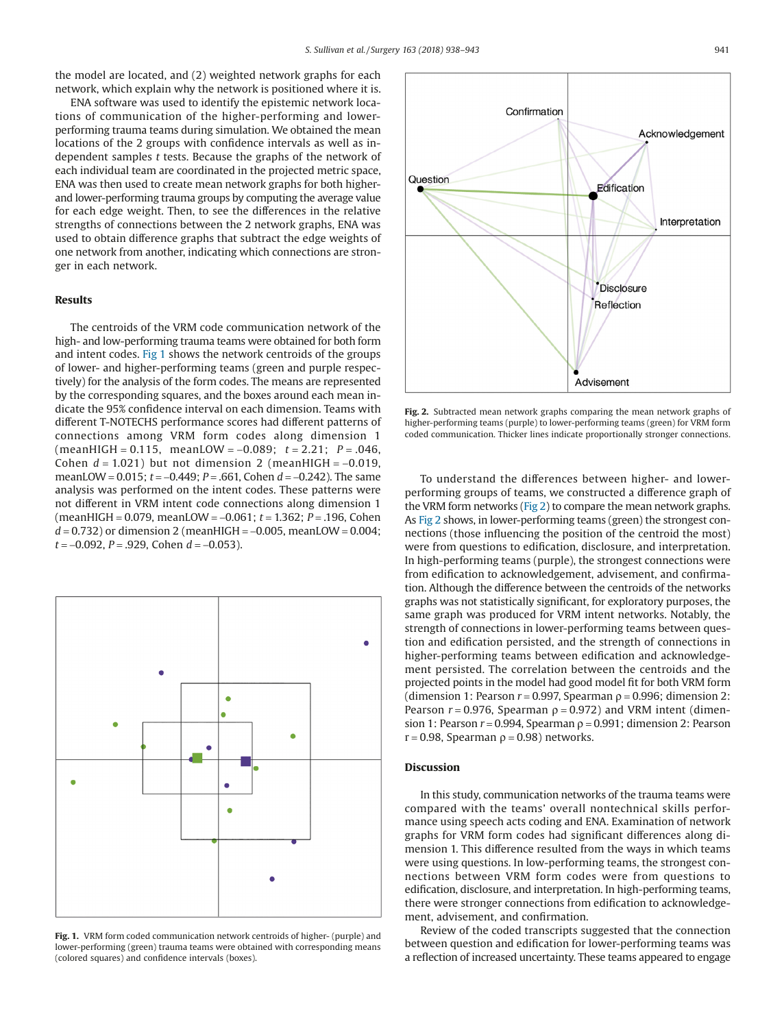the model are located, and (2) weighted network graphs for each network, which explain why the network is positioned where it is.

ENA software was used to identify the epistemic network locations of communication of the higher-performing and lowerperforming trauma teams during simulation. We obtained the mean locations of the 2 groups with confidence intervals as well as independent samples *t* tests. Because the graphs of the network of each individual team are coordinated in the projected metric space, ENA was then used to create mean network graphs for both higherand lower-performing trauma groups by computing the average value for each edge weight. Then, to see the differences in the relative strengths of connections between the 2 network graphs, ENA was used to obtain difference graphs that subtract the edge weights of one network from another, indicating which connections are stronger in each network.

### **Results**

The centroids of the VRM code communication network of the high- and low-performing trauma teams were obtained for both form and intent codes. Fig 1 shows the network centroids of the groups of lower- and higher-performing teams (green and purple respectively) for the analysis of the form codes. The means are represented by the corresponding squares, and the boxes around each mean indicate the 95% confidence interval on each dimension. Teams with different T-NOTECHS performance scores had different patterns of connections among VRM form codes along dimension 1 (meanHIGH = 0.115, meanLOW = −0.089; *t* = 2.21; *P* = .046, Cohen *d* = 1.021) but not dimension 2 (meanHIGH = −0.019, meanLOW = 0.015; *t* = −0.449; *P* = .661, Cohen *d* = −0.242). The same analysis was performed on the intent codes. These patterns were not different in VRM intent code connections along dimension 1 (meanHIGH = 0.079, meanLOW = −0.061; *t* = 1.362; *P* = .196, Cohen *d* = 0.732) or dimension 2 (meanHIGH = −0.005, meanLOW = 0.004; *t* = −0.092, *P* = .929, Cohen *d* = −0.053).



**Fig. 1.** VRM form coded communication network centroids of higher- (purple) and lower-performing (green) trauma teams were obtained with corresponding means (colored squares) and confidence intervals (boxes).



**Fig. 2.** Subtracted mean network graphs comparing the mean network graphs of higher-performing teams (purple) to lower-performing teams (green) for VRM form coded communication. Thicker lines indicate proportionally stronger connections.

To understand the differences between higher- and lowerperforming groups of teams, we constructed a difference graph of the VRM form networks (Fig 2) to compare the mean network graphs. As Fig 2 shows, in lower-performing teams (green) the strongest connections (those influencing the position of the centroid the most) were from questions to edification, disclosure, and interpretation. In high-performing teams (purple), the strongest connections were from edification to acknowledgement, advisement, and confirmation. Although the difference between the centroids of the networks graphs was not statistically significant, for exploratory purposes, the same graph was produced for VRM intent networks. Notably, the strength of connections in lower-performing teams between question and edification persisted, and the strength of connections in higher-performing teams between edification and acknowledgement persisted. The correlation between the centroids and the projected points in the model had good model fit for both VRM form (dimension 1: Pearson  $r = 0.997$ , Spearman  $\rho = 0.996$ ; dimension 2: Pearson  $r = 0.976$ , Spearman  $\rho = 0.972$ ) and VRM intent (dimension 1: Pearson  $r = 0.994$ , Spearman  $\rho = 0.991$ ; dimension 2: Pearson  $r = 0.98$ , Spearman  $\rho = 0.98$ ) networks.

## **Discussion**

In this study, communication networks of the trauma teams were compared with the teams' overall nontechnical skills performance using speech acts coding and ENA. Examination of network graphs for VRM form codes had significant differences along dimension 1. This difference resulted from the ways in which teams were using questions. In low-performing teams, the strongest connections between VRM form codes were from questions to edification, disclosure, and interpretation. In high-performing teams, there were stronger connections from edification to acknowledgement, advisement, and confirmation.

Review of the coded transcripts suggested that the connection between question and edification for lower-performing teams was a reflection of increased uncertainty. These teams appeared to engage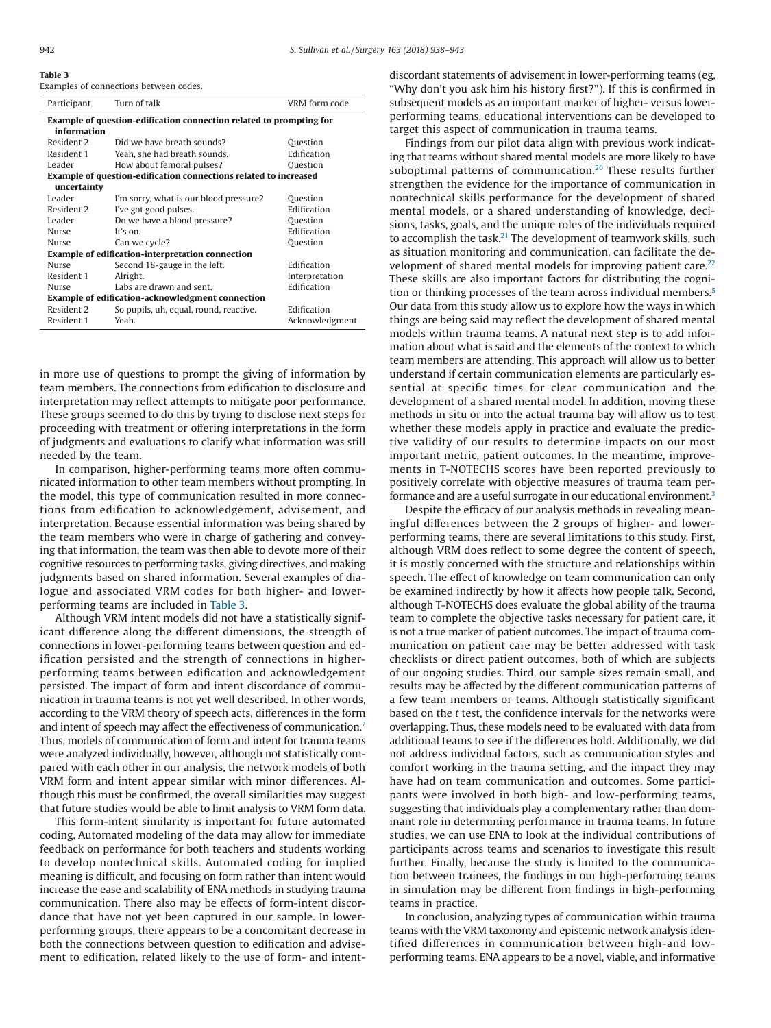**Table 3**

|  | Examples of connections between codes. |  |
|--|----------------------------------------|--|
|  |                                        |  |

| Participant                                                                        | Turn of talk                           | VRM form code  |  |  |  |  |
|------------------------------------------------------------------------------------|----------------------------------------|----------------|--|--|--|--|
| Example of question-edification connection related to prompting for<br>information |                                        |                |  |  |  |  |
| Resident 2                                                                         | Did we have breath sounds?             | Question       |  |  |  |  |
| Resident 1                                                                         | Yeah, she had breath sounds.           | Edification    |  |  |  |  |
| Leader                                                                             | How about femoral pulses?              | Question       |  |  |  |  |
| <b>Example of question-edification connections related to increased</b>            |                                        |                |  |  |  |  |
| uncertainty                                                                        |                                        |                |  |  |  |  |
| Leader                                                                             | I'm sorry, what is our blood pressure? | Question       |  |  |  |  |
| Resident 2                                                                         | I've got good pulses.                  | Edification    |  |  |  |  |
| Leader                                                                             | Do we have a blood pressure?           | Question       |  |  |  |  |
| <b>Nurse</b>                                                                       | It's $on$                              | Edification    |  |  |  |  |
| <b>Nurse</b>                                                                       | Can we cycle?                          | Question       |  |  |  |  |
| <b>Example of edification-interpretation connection</b>                            |                                        |                |  |  |  |  |
| <b>Nurse</b>                                                                       | Second 18-gauge in the left.           | Edification    |  |  |  |  |
| Resident 1                                                                         | Alright.                               | Interpretation |  |  |  |  |
| Nurse                                                                              | Labs are drawn and sent.               | Edification    |  |  |  |  |
| Example of edification-acknowledgment connection                                   |                                        |                |  |  |  |  |
| Resident 2                                                                         | So pupils, uh, equal, round, reactive. | Edification    |  |  |  |  |
| Resident 1                                                                         | Yeah.                                  | Acknowledgment |  |  |  |  |
|                                                                                    |                                        |                |  |  |  |  |

in more use of questions to prompt the giving of information by team members. The connections from edification to disclosure and interpretation may reflect attempts to mitigate poor performance. These groups seemed to do this by trying to disclose next steps for proceeding with treatment or offering interpretations in the form of judgments and evaluations to clarify what information was still needed by the team.

In comparison, higher-performing teams more often communicated information to other team members without prompting. In the model, this type of communication resulted in more connections from edification to acknowledgement, advisement, and interpretation. Because essential information was being shared by the team members who were in charge of gathering and conveying that information, the team was then able to devote more of their cognitive resources to performing tasks, giving directives, and making judgments based on shared information. Several examples of dialogue and associated VRM codes for both higher- and lowerperforming teams are included in Table 3.

Although VRM intent models did not have a statistically significant difference along the different dimensions, the strength of connections in lower-performing teams between question and edification persisted and the strength of connections in higherperforming teams between edification and acknowledgement persisted. The impact of form and intent discordance of communication in trauma teams is not yet well described. In other words, according to the VRM theory of speech acts, differences in the form and intent of speech may affect the effectiveness of communication.<sup>7</sup> Thus, models of communication of form and intent for trauma teams were analyzed individually, however, although not statistically compared with each other in our analysis, the network models of both VRM form and intent appear similar with minor differences. Although this must be confirmed, the overall similarities may suggest that future studies would be able to limit analysis to VRM form data.

This form-intent similarity is important for future automated coding. Automated modeling of the data may allow for immediate feedback on performance for both teachers and students working to develop nontechnical skills. Automated coding for implied meaning is difficult, and focusing on form rather than intent would increase the ease and scalability of ENA methods in studying trauma communication. There also may be effects of form-intent discordance that have not yet been captured in our sample. In lowerperforming groups, there appears to be a concomitant decrease in both the connections between question to edification and advisement to edification. related likely to the use of form- and intentdiscordant statements of advisement in lower-performing teams (eg, "Why don't you ask him his history first?"). If this is confirmed in subsequent models as an important marker of higher- versus lowerperforming teams, educational interventions can be developed to target this aspect of communication in trauma teams.

Findings from our pilot data align with previous work indicating that teams without shared mental models are more likely to have suboptimal patterns of communication.<sup>20</sup> These results further strengthen the evidence for the importance of communication in nontechnical skills performance for the development of shared mental models, or a shared understanding of knowledge, decisions, tasks, goals, and the unique roles of the individuals required to accomplish the task.<sup>21</sup> The development of teamwork skills, such as situation monitoring and communication, can facilitate the development of shared mental models for improving patient care. $2<sup>2</sup>$ These skills are also important factors for distributing the cognition or thinking processes of the team across individual members[.5](#page-5-4) Our data from this study allow us to explore how the ways in which things are being said may reflect the development of shared mental models within trauma teams. A natural next step is to add information about what is said and the elements of the context to which team members are attending. This approach will allow us to better understand if certain communication elements are particularly essential at specific times for clear communication and the development of a shared mental model. In addition, moving these methods in situ or into the actual trauma bay will allow us to test whether these models apply in practice and evaluate the predictive validity of our results to determine impacts on our most important metric, patient outcomes. In the meantime, improvements in T-NOTECHS scores have been reported previously to positively correlate with objective measures of trauma team performance and are a useful surrogate in our educational environment.<sup>3</sup>

Despite the efficacy of our analysis methods in revealing meaningful differences between the 2 groups of higher- and lowerperforming teams, there are several limitations to this study. First, although VRM does reflect to some degree the content of speech, it is mostly concerned with the structure and relationships within speech. The effect of knowledge on team communication can only be examined indirectly by how it affects how people talk. Second, although T-NOTECHS does evaluate the global ability of the trauma team to complete the objective tasks necessary for patient care, it is not a true marker of patient outcomes. The impact of trauma communication on patient care may be better addressed with task checklists or direct patient outcomes, both of which are subjects of our ongoing studies. Third, our sample sizes remain small, and results may be affected by the different communication patterns of a few team members or teams. Although statistically significant based on the *t* test, the confidence intervals for the networks were overlapping. Thus, these models need to be evaluated with data from additional teams to see if the differences hold. Additionally, we did not address individual factors, such as communication styles and comfort working in the trauma setting, and the impact they may have had on team communication and outcomes. Some participants were involved in both high- and low-performing teams, suggesting that individuals play a complementary rather than dominant role in determining performance in trauma teams. In future studies, we can use ENA to look at the individual contributions of participants across teams and scenarios to investigate this result further. Finally, because the study is limited to the communication between trainees, the findings in our high-performing teams in simulation may be different from findings in high-performing teams in practice.

In conclusion, analyzing types of communication within trauma teams with the VRM taxonomy and epistemic network analysis identified differences in communication between high-and lowperforming teams. ENA appears to be a novel, viable, and informative